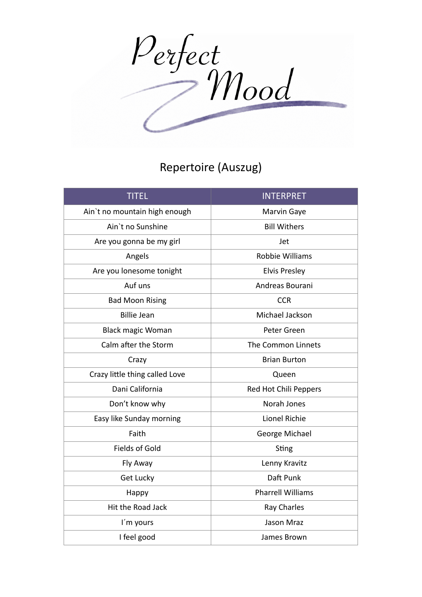Perfect<br>Mood

## Repertoire (Auszug)

| <b>TITEL</b>                   | <b>INTERPRET</b>         |
|--------------------------------|--------------------------|
| Ain't no mountain high enough  | Marvin Gaye              |
| Ain't no Sunshine              | <b>Bill Withers</b>      |
| Are you gonna be my girl       | Jet                      |
| Angels                         | <b>Robbie Williams</b>   |
| Are you lonesome tonight       | <b>Elvis Presley</b>     |
| Auf uns                        | Andreas Bourani          |
| <b>Bad Moon Rising</b>         | <b>CCR</b>               |
| <b>Billie Jean</b>             | Michael Jackson          |
| <b>Black magic Woman</b>       | Peter Green              |
| Calm after the Storm           | The Common Linnets       |
| Crazy                          | <b>Brian Burton</b>      |
| Crazy little thing called Love | Queen                    |
| Dani California                | Red Hot Chili Peppers    |
| Don't know why                 | Norah Jones              |
| Easy like Sunday morning       | Lionel Richie            |
| Faith                          | George Michael           |
| <b>Fields of Gold</b>          | Sting                    |
| Fly Away                       | Lenny Kravitz            |
| Get Lucky                      | Daft Punk                |
| Happy                          | <b>Pharrell Williams</b> |
| Hit the Road Jack              | Ray Charles              |
| I'm yours                      | Jason Mraz               |
| I feel good                    | James Brown              |